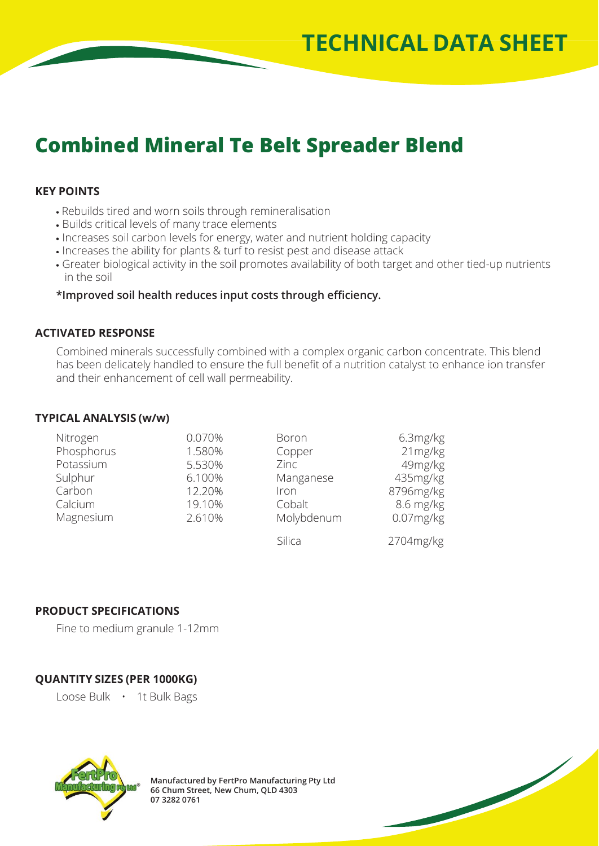# **Combined Mineral Te Belt Spreader Blend**

### **KEY POINTS**

- Rebuilds tired and worn soils through remineralisation
- Builds critical levels of many trace elements
- Increases soil carbon levels for energy, water and nutrient holding capacity
- . Increases the ability for plants & turf to resist pest and disease attack
- Greater biological activity in the soil promotes availability of both target and other tied-up nutrients in the soil

### **\*Improved soil health reduces input costs through efficiency.**

#### **ACTIVATED RESPONSE**

Combined minerals successfully combined with a complex organic carbon concentrate. This blend has been delicately handled to ensure the full benefit of a nutrition catalyst to enhance ion transfer and their enhancement of cell wall permeability.

#### **TYPICAL ANALYSIS (w/w)**

| Nitrogen   | 0.070% | Boron      | 6.3mg/kg     |
|------------|--------|------------|--------------|
| Phosphorus | 1.580% | Copper     | 21mg/kg      |
| Potassium  | 5.530% | Zinc       | 49mg/kg      |
| Sulphur    | 6.100% | Manganese  | 435mg/kg     |
| Carbon     | 12.20% | Iron       | 8796mg/kg    |
| Calcium    | 19.10% | Cobalt     | 8.6 mg/kg    |
| Magnesium  | 2.610% | Molybdenum | $0.07$ mg/kg |
|            |        | Silica     | 2704mg/kg    |

## **PRODUCT SPECIFICATIONS**

Fine to medium granule 1-12mm

# **QUANTITY SIZES (PER 1000KG)**

Loose Bulk • 1t Bulk Bags



**Manufactured by FertPro Manufacturing Pty Ltd 66 Chum Street, New Chum, QLD 4303 07 3282 0761**